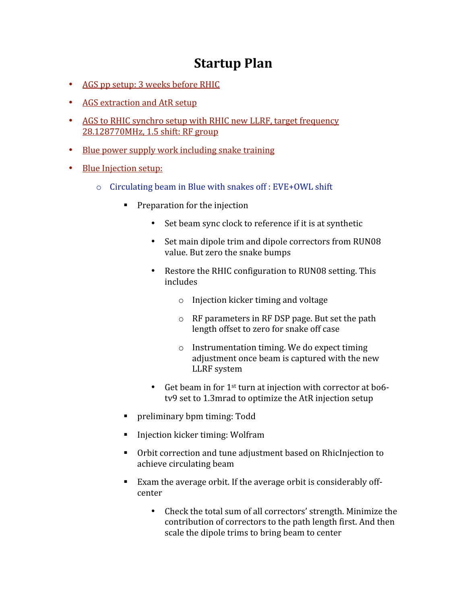# **Startup
Plan**

- AGS pp setup: 3 weeks before RHIC
- AGS extraction and AtR setup
- AGS to RHIC synchro setup with RHIC new LLRF, target frequency 28.128770MHz,
1.5
shift:
RF
group
- Blue power supply work including snake training
- Blue Injection setup:
	- o Circulating
	beam
	in
	Blue
	with
	snakes
	off
	:
	EVE+OWL
	shift
		- Preparation for the injection
			- Set beam sync clock to reference if it is at synthetic
			- Set main dipole trim and dipole correctors from RUN08 value.
			But
			zero
			the
			snake
			bumps
			- Restore the RHIC configuration to RUN08 setting. This includes
				- o Injection
				kicker
				timing
				and
				voltage
				- o RF
				parameters
				in
				RF
				DSP
				page.
				But
				set
				the
				path length
				offset
				to
				zero
				for
				snake
				off
				case
				- o Instrumentation
				timing.
				We
				do
				expect
				timing adjustment
				once
				beam
				is
				captured
				with
				the
				new LLRF
				system
			- Get beam in for 1<sup>st</sup> turn at injection with corrector at bo6tv9 set to 1.3mrad to optimize the AtR injection setup
		- preliminary bpm timing: Todd
		- Injection kicker timing: Wolfram
		- Orbit correction and tune adjustment based on RhicInjection to achieve
		circulating
		beam
		- Exam the average orbit. If the average orbit is considerably offcenter
			- Check the total sum of all correctors' strength. Minimize the contribution
			of
			correctors
			to
			the
			path
			length
			first.
			And
			then scale
			the
			dipole
			trims
			to
			bring
			beam
			to
			center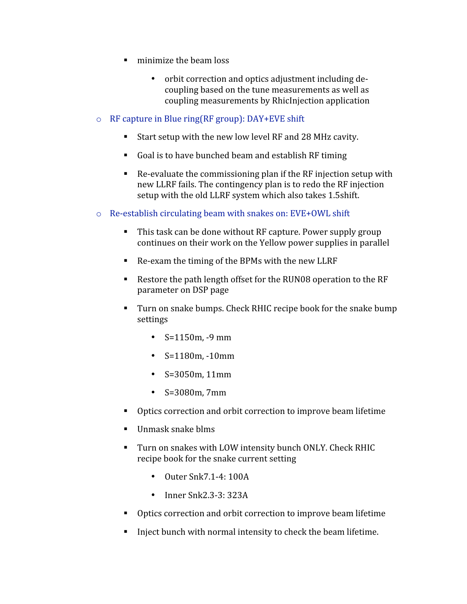- minimize the beam loss
	- orbit
	correction
	and
	optics
	adjustment
	including
	de‐ coupling
	based
	on
	the
	tune
	measurements
	as
	well
	as coupling
	measurements
	by
	RhicInjection
	application
- o RF
capture
in
Blue
ring(RF
group):
DAY+EVE
shift
	- Start setup with the new low level RF and 28 MHz cavity.
	- Goal is to have bunched beam and establish RF timing
	- Re-evaluate the commissioning plan if the RF injection setup with new
	LLRF
	fails.
	The
	contingency
	plan
	is
	to
	redo
	the
	RF
	injection setup
	with
	the
	old
	LLRF
	system
	which
	also
	takes
	1.5shift.
- Re-establish circulating beam with snakes on: EVE+OWL shift
	- This task can be done without RF capture. Power supply group continues
	on
	their
	work
	on
	the
	Yellow
	power
	supplies
	in
	parallel
	- Re-exam the timing of the BPMs with the new LLRF
	- Restore the path length offset for the RUN08 operation to the RF parameter
	on
	DSP
	page
	- Turn
	on
	snake
	bumps.
	Check
	RHIC
	recipe
	book
	for
	the
	snake
	bump settings
		- $S=1150m$ .  $-9$  mm
		- $S=1180m, -10mm$
		- S=3050m,
		11mm
		- S=3080m,
		7mm
	- Optics correction and orbit correction to improve beam lifetime
	- Unmask snake blms
	- Turn on snakes with LOW intensity bunch ONLY. Check RHIC recipe
	book
	for
	the
	snake
	current
	setting
		- Outer Snk7.1-4: 100A
		- Inner Snk2.3-3: 323A
	- Optics
	correction
	and
	orbit
	correction
	to
	improve
	beam
	lifetime
	- Inject bunch with normal intensity to check the beam lifetime.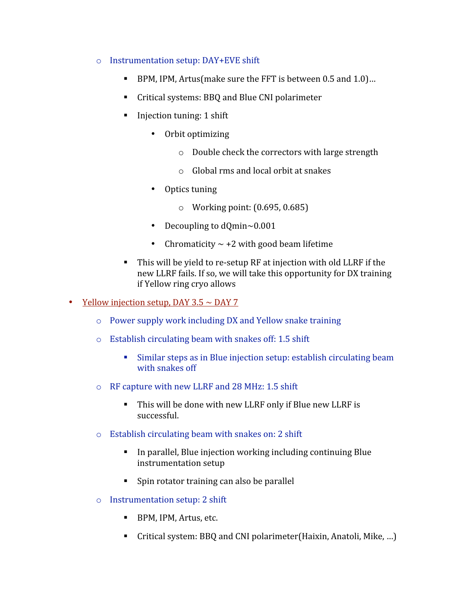### o Instrumentation
setup:
DAY+EVE
shift

- BPM,
IPM,
Artus(make
sure
the
FFT
is
between
0.5
and
1.0)…
- Critical systems: BBO and Blue CNI polarimeter
- Injection tuning: 1 shift
	- Orbit
	optimizing
		- o Double
		check
		the
		correctors
		with
		large
		strength
		- o Global
		rms
		and
		local
		orbit
		at
		snakes
	- Optics
	tuning
		- o Working
		point:
		(0.695,
		0.685)
	- Decoupling to dQmin~0.001
	- Chromaticity  $\sim$  +2 with good beam lifetime
- This will be yield to re-setup RF at injection with old LLRF if the new
LLRF
fails.
If
so,
we
will
take
this
opportunity
for
DX
training if
Yellow
ring
cryo
allows
- Yellow injection setup, DAY  $3.5 \sim$  DAY 7
	- o Power
	supply
	work
	including
	DX
	and
	Yellow
	snake
	training
	- o Establish
	circulating
	beam
	with
	snakes
	off:
	1.5
	shift
		- Similar steps as in Blue injection setup: establish circulating beam with
		snakes
		off
	- o RF
	capture
	with
	new
	LLRF
	and
	28
	MHz:
	1.5
	shift
		- This will be done with new LLRF only if Blue new LLRF is successful.
	- o Establish
	circulating
	beam
	with
	snakes
	on:
	2
	shift
		- In parallel, Blue injection working including continuing Blue instrumentation
		setup
		- Spin
		rotator
		training
		can
		also
		be
		parallel
	- o Instrumentation
	setup:
	2
	shift
		- BPM, IPM, Artus, etc.
		- Critical system: BBQ and CNI polarimeter(Haixin, Anatoli, Mike, ...)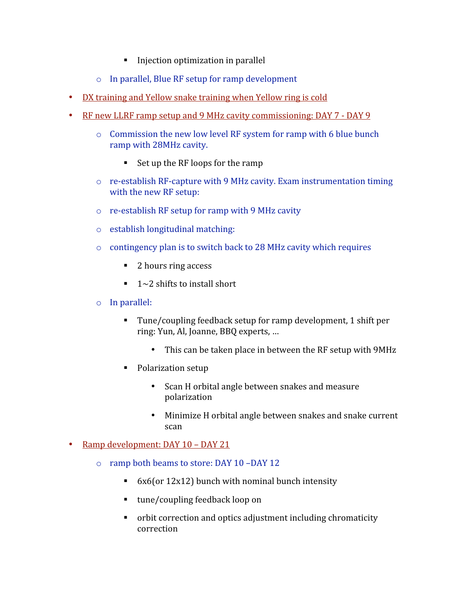- Injection optimization in parallel
- o In
parallel,
Blue
RF
setup
for
ramp
development
- DX training and Yellow snake training when Yellow ring is cold
- RF new LLRF ramp setup and 9 MHz cavity commissioning: DAY 7 DAY 9
	- o Commission
	the
	new
	low
	level
	RF
	system
	for
	ramp
	with
	6
	blue
	bunch ramp
	with
	28MHz
	cavity.
		- Set up the RF loops for the ramp
	- re-establish RF-capture with 9 MHz cavity. Exam instrumentation timing with the new RF setup:
	- re-establish RF setup for ramp with 9 MHz cavity
	- o establish
	longitudinal
	matching:
	- o contingency
	plan
	is
	to
	switch
	back
	to
	28
	MHz
	cavity
	which
	requires
		- 2 hours ring access
		- $\blacksquare$  1~2 shifts to install short
	- o In
	parallel:
		- Tune/coupling feedback setup for ramp development, 1 shift per ring:
		Yun,
		Al,
		Joanne,
		BBQ
		experts,
		…
			- This can be taken place in between the RF setup with 9MHz
		- Polarization setup
			- Scan
			H
			orbital
			angle
			between
			snakes
			and
			measure polarization
			- Minimize H orbital angle between snakes and snake current scan

#### • Ramp development: DAY 10 - DAY 21

- o ramp
both
beams
to
store:
DAY
10
–DAY
12
	- 6x6(or 12x12) bunch with nominal bunch intensity
	- tune/coupling feedback loop on
	- orbit correction and optics adjustment including chromaticity correction